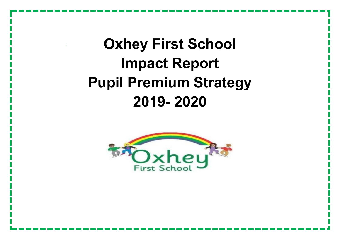## **Oxhey First School Impact Report Pupil Premium Strategy 2019- 2020**

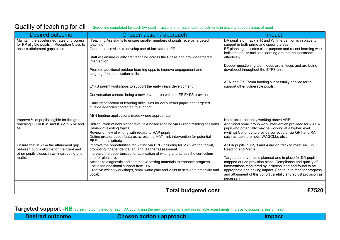## Quality of teaching for all — Screening completed for each DA pupil – actions and reasonable adjustments in place to support areas of need

| Desired outcome                                                                                                                   | Chosen action / approach                                                                                                                                                                                                                                                       | Impact                                                                                                                                                                                                                                                                 |
|-----------------------------------------------------------------------------------------------------------------------------------|--------------------------------------------------------------------------------------------------------------------------------------------------------------------------------------------------------------------------------------------------------------------------------|------------------------------------------------------------------------------------------------------------------------------------------------------------------------------------------------------------------------------------------------------------------------|
| Maintain the accelerated rates of progress<br>for PP eligible pupils in Reception Class to<br>ensure attainment gaps close        | Teaching Assistants to ensure smaller numbers of pupils receive targeted<br>teaching<br>Good practice visits to develop use of facilitator in EE                                                                                                                               | DA pupil is on track in R and W. Intervention is in place to<br>support in both prime and specific areas.<br>EE planning indicates clear purpose and recent learning walk                                                                                              |
|                                                                                                                                   | Staff will ensure quality first teaching across the Phase and provide targeted                                                                                                                                                                                                 | indicates adults facilitate learning around the classroom<br>effectively.                                                                                                                                                                                              |
|                                                                                                                                   | intervention                                                                                                                                                                                                                                                                   | Deeper questioning techniques are in focus and are being                                                                                                                                                                                                               |
|                                                                                                                                   | Promote additional outdoor learning opps to improve engagement and<br>language/communication skills                                                                                                                                                                            | developed throughout the EYFS unit.                                                                                                                                                                                                                                    |
|                                                                                                                                   | EYFS parent workshops to support the early years development                                                                                                                                                                                                                   | AEN and EY Forum funding successfully applied for to<br>support other vulnerable pupils.                                                                                                                                                                               |
|                                                                                                                                   | Conversation corners being a new driven area with the EE EYFS provision                                                                                                                                                                                                        |                                                                                                                                                                                                                                                                        |
|                                                                                                                                   | Early identification of learning difficulties for early years pupils and targeted<br>outside agencies contacted to support                                                                                                                                                     |                                                                                                                                                                                                                                                                        |
|                                                                                                                                   | AEN funding applications made where appropriate                                                                                                                                                                                                                                |                                                                                                                                                                                                                                                                        |
| Improve % of pupils eligible for the grant<br>reaching GD in KS1 and KS 2 in R W and<br>М.                                        | Introduction of new higher level text based reading via Guided reading sessions<br>Review of existing topics<br>Review of flow of writing with regard to HAP pupils<br>Define greater depth features across the MAT- link intervention for potential<br>PPP's to this criteria | No children currently working above ARE -<br>Additional small group work/intervention provided for Y3 DA<br>pupil who potentially may be working at a higher level<br>(writing) Continue to provide correct diet via QFT and RA<br>such as table prompts, WAGOLLs etc. |
| Ensure that in Y1-4 the attainment gap<br>between pupils eligible for the grant and<br>other pupils closes in writing/reading and | Improve the opportunities for writing via CPD including for MAT writing toolkit,<br>promoting independence, afl and teacher assessment.<br>Increase the opportunities for application of writing and across the curriculum                                                     | All DA pupils in Y2, 3 and 4 are on track to meet ARE in<br>Reading and Maths.                                                                                                                                                                                         |
| maths                                                                                                                             | and for pleasure.<br>Access to diagnostic and summative testing materials to enhance progress                                                                                                                                                                                  | Targeted interventions planned and in place for DA pupils -<br>mapped out on provision plans. Compliance and quality of                                                                                                                                                |
|                                                                                                                                   | Focussed additional support from TA<br>Creative writing workshops, small world play and visits to stimulate creativity and<br>vocab.                                                                                                                                           | interventions monitored by inclusion lead and found to be<br>appropriate and having impact. Continue to monitor progress<br>and attainment of this cohort carefully and adjust provision as<br>necessary.                                                              |
|                                                                                                                                   |                                                                                                                                                                                                                                                                                |                                                                                                                                                                                                                                                                        |
|                                                                                                                                   | <b>Total budgeted cost</b>                                                                                                                                                                                                                                                     | £7520                                                                                                                                                                                                                                                                  |

**Targeted support -NB** Screening completed for each DA pupil using the new tool – actions and reasonable adjustments in place to support areas of need

|  | Desired outcome |  |  |  |
|--|-----------------|--|--|--|
|--|-----------------|--|--|--|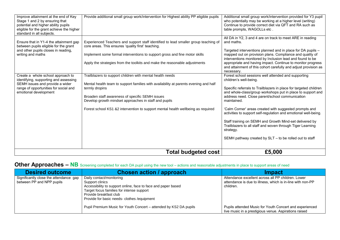| table prompts, WAGOLLs etc.<br>standard in all subjects.<br>All DA in Y2, 3 and 4 are on track to meet ARE in reading<br>Experienced Teachers and support staff identified to lead smaller group teaching of<br>Ensure that in Y1-4 the attainment gap<br>and maths.<br>between pupils eligible for the grant<br>core areas. This ensures 'quality first' teaching.<br>and other pupils closes in reading,<br>Targeted interventions planned and in place for DA pupils -<br>mapped out on provision plans. Compliance and quality of<br>writing and maths<br>Implement some formal interventions to support gross and fine motor skills<br>interventions monitored by Inclusion lead and found to be<br>appropriate and having impact. Continue to monitor progress<br>Apply the strategies from the toolkits and make the reasonable adjustments<br>and attainment of this cohort carefully and adjust provision as<br>necessary.<br>Forest school sessions well attended and supporting<br>Trailblazers to support children with mental health needs<br>Create a whole school approach to<br>identifying, supporting and assessing<br>children's well-being.<br>SEMH issues and provide a wider<br>Mental health team to support families with availability at parents evening and half<br>range of opportunities for social and<br>Specific referrals to Trailblazers in place for targeted children<br>termly dropins<br>and whole-class/group workshops put in place to support and<br>emotional development<br>address need. Close parent/school communication<br>Broaden staff awareness of specific SEMH issues<br>Develop growth mindset approaches in staff and pupils<br>maintained.<br>Forest school KS1 &2 intervention to support mental health wellbeing as required<br>'Calm Corner' areas created with suggested prompts and<br>activities to support self-regulation and emotional well-being.<br>Staff training on SEMH and Growth Mind-set delivered by<br>Trailblazers to all staff and woven through Tiger Learning<br>strategy.<br>SEMH pathway created by SLT - to be rolled out to staff |                                           | <b>Total budgeted cost</b> | £5,000 |
|--------------------------------------------------------------------------------------------------------------------------------------------------------------------------------------------------------------------------------------------------------------------------------------------------------------------------------------------------------------------------------------------------------------------------------------------------------------------------------------------------------------------------------------------------------------------------------------------------------------------------------------------------------------------------------------------------------------------------------------------------------------------------------------------------------------------------------------------------------------------------------------------------------------------------------------------------------------------------------------------------------------------------------------------------------------------------------------------------------------------------------------------------------------------------------------------------------------------------------------------------------------------------------------------------------------------------------------------------------------------------------------------------------------------------------------------------------------------------------------------------------------------------------------------------------------------------------------------------------------------------------------------------------------------------------------------------------------------------------------------------------------------------------------------------------------------------------------------------------------------------------------------------------------------------------------------------------------------------------------------------------------------------------------------------------------------------------------------------------------------|-------------------------------------------|----------------------------|--------|
|                                                                                                                                                                                                                                                                                                                                                                                                                                                                                                                                                                                                                                                                                                                                                                                                                                                                                                                                                                                                                                                                                                                                                                                                                                                                                                                                                                                                                                                                                                                                                                                                                                                                                                                                                                                                                                                                                                                                                                                                                                                                                                                    |                                           |                            |        |
|                                                                                                                                                                                                                                                                                                                                                                                                                                                                                                                                                                                                                                                                                                                                                                                                                                                                                                                                                                                                                                                                                                                                                                                                                                                                                                                                                                                                                                                                                                                                                                                                                                                                                                                                                                                                                                                                                                                                                                                                                                                                                                                    |                                           |                            |        |
|                                                                                                                                                                                                                                                                                                                                                                                                                                                                                                                                                                                                                                                                                                                                                                                                                                                                                                                                                                                                                                                                                                                                                                                                                                                                                                                                                                                                                                                                                                                                                                                                                                                                                                                                                                                                                                                                                                                                                                                                                                                                                                                    |                                           |                            |        |
|                                                                                                                                                                                                                                                                                                                                                                                                                                                                                                                                                                                                                                                                                                                                                                                                                                                                                                                                                                                                                                                                                                                                                                                                                                                                                                                                                                                                                                                                                                                                                                                                                                                                                                                                                                                                                                                                                                                                                                                                                                                                                                                    |                                           |                            |        |
|                                                                                                                                                                                                                                                                                                                                                                                                                                                                                                                                                                                                                                                                                                                                                                                                                                                                                                                                                                                                                                                                                                                                                                                                                                                                                                                                                                                                                                                                                                                                                                                                                                                                                                                                                                                                                                                                                                                                                                                                                                                                                                                    |                                           |                            |        |
|                                                                                                                                                                                                                                                                                                                                                                                                                                                                                                                                                                                                                                                                                                                                                                                                                                                                                                                                                                                                                                                                                                                                                                                                                                                                                                                                                                                                                                                                                                                                                                                                                                                                                                                                                                                                                                                                                                                                                                                                                                                                                                                    |                                           |                            |        |
|                                                                                                                                                                                                                                                                                                                                                                                                                                                                                                                                                                                                                                                                                                                                                                                                                                                                                                                                                                                                                                                                                                                                                                                                                                                                                                                                                                                                                                                                                                                                                                                                                                                                                                                                                                                                                                                                                                                                                                                                                                                                                                                    |                                           |                            |        |
|                                                                                                                                                                                                                                                                                                                                                                                                                                                                                                                                                                                                                                                                                                                                                                                                                                                                                                                                                                                                                                                                                                                                                                                                                                                                                                                                                                                                                                                                                                                                                                                                                                                                                                                                                                                                                                                                                                                                                                                                                                                                                                                    |                                           |                            |        |
| Provide additional small group work/intervention for Highest ability PP eligible pupils<br>Additional small group work/intervention provided for Y3 pupil<br>Improve attainment at the end of Key<br>Stage 1 and 2 by ensuring that<br>who potentially may be working at a higher level (writing)<br>potential and higher ability pupils<br>Continue to provide correct diet via QFT and RA such as                                                                                                                                                                                                                                                                                                                                                                                                                                                                                                                                                                                                                                                                                                                                                                                                                                                                                                                                                                                                                                                                                                                                                                                                                                                                                                                                                                                                                                                                                                                                                                                                                                                                                                                | eligible for the grant achieve the higher |                            |        |

## **Other Approaches – NB** Screening completed for each DA pupil using the new tool – actions and reasonable adjustments in place to support areas of need

| <b>Desired outcome</b>                                              | <b>Chosen action / approach</b>                                                                                                                                                                                                    | <b>Impact</b>                                                                                                                 |
|---------------------------------------------------------------------|------------------------------------------------------------------------------------------------------------------------------------------------------------------------------------------------------------------------------------|-------------------------------------------------------------------------------------------------------------------------------|
| Significantly close the attendance gap<br>between PP and NPP pupils | Daily contact/monitoring<br>Support clinics<br>Accessibility to support online, face to face and paper based<br>Target focus families for intense support<br>Provide breakfast club<br>Provide for basic needs-clothes / equipment | Attendance excellent across all PP children. Lower<br>attendance is due to illness, which is in-line with non-PP<br>children. |
|                                                                     | Pupil Premium Music for Youth Concert – attended by KS2 DA pupils                                                                                                                                                                  | Pupils attended Music for Youth Concert and experienced<br>live music in a prestigious venue. Aspirations raised              |